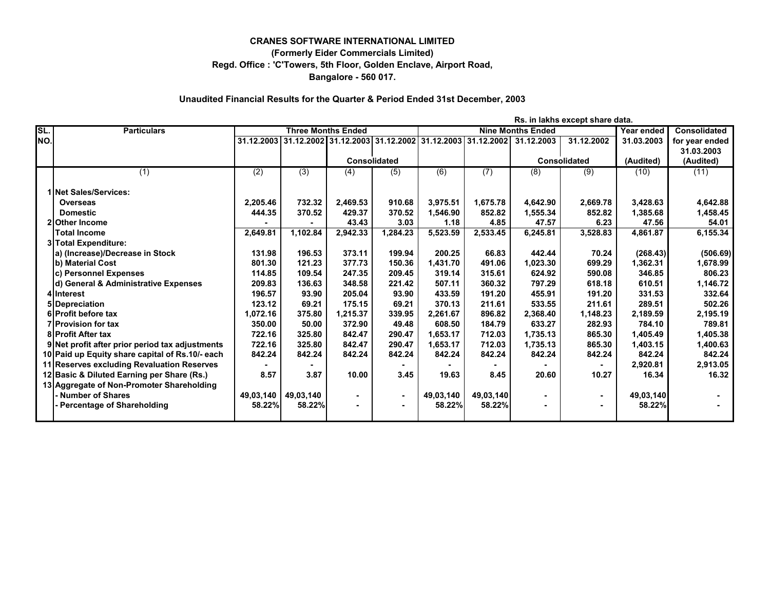## **Regd. Office : 'C'Towers, 5th Floor, Golden Enclave, Airport Road, CRANES SOFTWARE INTERNATIONAL LIMITED (Formerly Eider Commercials Limited) Bangalore - 560 017.**

## **Unaudited Financial Results for the Quarter & Period Ended 31st December, 2003**

**Rs. in lakhs except share data.**

| SL. | <b>Particulars</b>                              | <b>Three Months Ended</b> |                  |                                  | <b>Nine Months Ended</b> |           |                       |            | Year ended          | <b>Consolidated</b> |                |
|-----|-------------------------------------------------|---------------------------|------------------|----------------------------------|--------------------------|-----------|-----------------------|------------|---------------------|---------------------|----------------|
| NO. |                                                 | 31.12.2003                |                  | 31.12.2002 31.12.2003 31.12.2002 |                          |           | 31.12.2003 31.12.2002 | 31.12.2003 | 31.12.2002          | 31.03.2003          | for year ended |
|     |                                                 |                           |                  |                                  |                          |           |                       |            |                     |                     | 31.03.2003     |
|     |                                                 |                           |                  | <b>Consolidated</b>              |                          |           |                       |            | <b>Consolidated</b> | (Audited)           | (Audited)      |
|     | (1)                                             | (2)                       | $\overline{(3)}$ | (4)                              | (5)                      | (6)       | (7)                   | (8)        | $\overline{(9)}$    | (10)                | (11)           |
|     |                                                 |                           |                  |                                  |                          |           |                       |            |                     |                     |                |
|     | 1 Net Sales/Services:                           |                           |                  |                                  |                          |           |                       |            |                     |                     |                |
|     | <b>Overseas</b>                                 | 2,205.46                  | 732.32           | 2,469.53                         | 910.68                   | 3,975.51  | 1,675.78              | 4,642.90   | 2,669.78            | 3,428.63            | 4,642.88       |
|     | <b>Domestic</b>                                 | 444.35                    | 370.52           | 429.37                           | 370.52                   | 1.546.90  | 852.82                | 1,555.34   | 852.82              | 1,385.68            | 1,458.45       |
|     | 2lOther Income                                  |                           |                  | 43.43                            | 3.03                     | 1.18      | 4.85                  | 47.57      | 6.23                | 47.56               | 54.01          |
|     | <b>Total Income</b>                             | 2,649.81                  | 1,102.84         | 2,942.33                         | 1,284.23                 | 5,523.59  | 2,533.45              | 6,245.81   | 3,528.83            | 4.861.87            | 6,155.34       |
|     | 3 Total Expenditure:                            |                           |                  |                                  |                          |           |                       |            |                     |                     |                |
|     | a) (Increase)/Decrease in Stock                 | 131.98                    | 196.53           | 373.11                           | 199.94                   | 200.25    | 66.83                 | 442.44     | 70.24               | (268.43)            | (506.69)       |
|     | b) Material Cost                                | 801.30                    | 121.23           | 377.73                           | 150.36                   | 1,431.70  | 491.06                | 1,023.30   | 699.29              | 1,362.31            | 1,678.99       |
|     | c) Personnel Expenses                           | 114.85                    | 109.54           | 247.35                           | 209.45                   | 319.14    | 315.61                | 624.92     | 590.08              | 346.85              | 806.23         |
|     | d) General & Administrative Expenses            | 209.83                    | 136.63           | 348.58                           | 221.42                   | 507.11    | 360.32                | 797.29     | 618.18              | 610.51              | 1,146.72       |
|     | 4 Interest                                      | 196.57                    | 93.90            | 205.04                           | 93.90                    | 433.59    | 191.20                | 455.91     | 191.20              | 331.53              | 332.64         |
|     | 5 Depreciation                                  | 123.12                    | 69.21            | 175.15                           | 69.21                    | 370.13    | 211.61                | 533.55     | 211.61              | 289.51              | 502.26         |
|     | 6 Profit before tax                             | 1,072.16                  | 375.80           | 1,215.37                         | 339.95                   | 2.261.67  | 896.82                | 2,368.40   | 1,148.23            | 2,189.59            | 2,195.19       |
|     | 7 Provision for tax                             | 350.00                    | 50.00            | 372.90                           | 49.48                    | 608.50    | 184.79                | 633.27     | 282.93              | 784.10              | 789.81         |
|     | <b>8 Profit After tax</b>                       | 722.16                    | 325.80           | 842.47                           | 290.47                   | 1.653.17  | 712.03                | 1,735.13   | 865.30              | 1,405.49            | 1,405.38       |
|     | 9 Net profit after prior period tax adjustments | 722.16                    | 325.80           | 842.47                           | 290.47                   | 1,653.17  | 712.03                | 1,735.13   | 865.30              | 1,403.15            | 1,400.63       |
|     | 10 Paid up Equity share capital of Rs.10/- each | 842.24                    | 842.24           | 842.24                           | 842.24                   | 842.24    | 842.24                | 842.24     | 842.24              | 842.24              | 842.24         |
|     | 11 Reserves excluding Revaluation Reserves      |                           |                  |                                  |                          |           |                       |            |                     | 2,920.81            | 2,913.05       |
|     | 12 Basic & Diluted Earning per Share (Rs.)      | 8.57                      | 3.87             | 10.00                            | 3.45                     | 19.63     | 8.45                  | 20.60      | 10.27               | 16.34               | 16.32          |
|     | 13 Aggregate of Non-Promoter Shareholding       |                           |                  |                                  |                          |           |                       |            |                     |                     |                |
|     | Number of Shares                                | 49,03,140                 | 49,03,140        |                                  | $\sim$                   | 49,03,140 | 49,03,140             |            |                     | 49,03,140           |                |
|     | - Percentage of Shareholding                    | 58.22%                    | 58.22%           |                                  |                          | 58.22%    | 58.22%                |            |                     | 58.22%              |                |
|     |                                                 |                           |                  |                                  |                          |           |                       |            |                     |                     |                |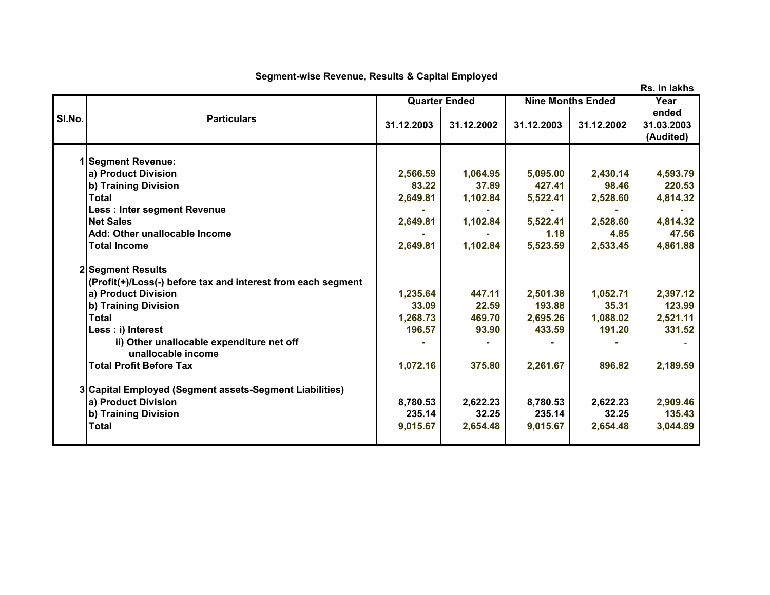## **Segment-wise Revenue, Results & Capital Employed**

**Year ended 31.12.2003 31.12.2002 31.12.2003 31.12.2002 31.03.2003 (Audited) 1 Segment Revenue: a) Product Division 2,566.59 1,064.95 5,095.00 2,430.14 4,593.79 b) Training Division 83.22 37.89 427.41 98.46 220.53 Total 2,649.81 1,102.84 5,522.41 2,528.60 4,814.32 Less : Inter segment Revenue - - - - - Net Sales 2,649.81 1,102.84 5,522.41 2,528.60 4,814.32** Add: Other unallocable Income **1.18 a.18 a.18 a.18 a.18 a.18 a.18 a.18** a.18 a.18 a.18 a.18 a.15 a.15 a.15 a.15 a.1 **Total Income 2,649.81 1,102.84 5,523.59 2,533.45 4,861.88 2 Segment Results (Profit(+)/Loss(-) before tax and interest from each segment a) Product Division 1,235.64 447.11 2,501.38 1,052.71 2,397.12 b) Training Division 33.09 22.59 193.88 35.31 123.99 Total 1,268.73 469.70 2,695.26 1,088.02 2,521.11 Less : i) Interest 196.57 93.90 433.59 191.20 331.52 ii) Other unallocable expenditure net off**  $\qquad \qquad$  $\qquad$  $\qquad$  $\qquad$  $\qquad$  $\qquad$  $\qquad$  $\qquad$  $\qquad$  $\qquad$  $\qquad$  $\qquad$  $\qquad$  $\qquad$  $\qquad$  $\qquad$  $\qquad$  $\qquad$  $\qquad$  $\qquad$  $\qquad$  $\qquad$  $\qquad$  $\qquad$  $\qquad$  $\qquad$  $\qquad$  $\qquad$  $\qquad$  **\ unallocable income Total Profit Before Tax 1,072.16 375.80 2,261.67 896.82 2,189.59 3 Capital Employed (Segment assets-Segment Liabilities) a) Product Division 8,780.53 2,622.23 8,780.53 2,622.23 2,909.46 b) Training Division 235.14 32.25 235.14 32.25 135.43 Total 9,015.67 2,654.48 9,015.67 2,654.48 3,044.89 Sl.No. Particulars Quarter Ended Nine Months Ended**

**Rs. in lakhs**